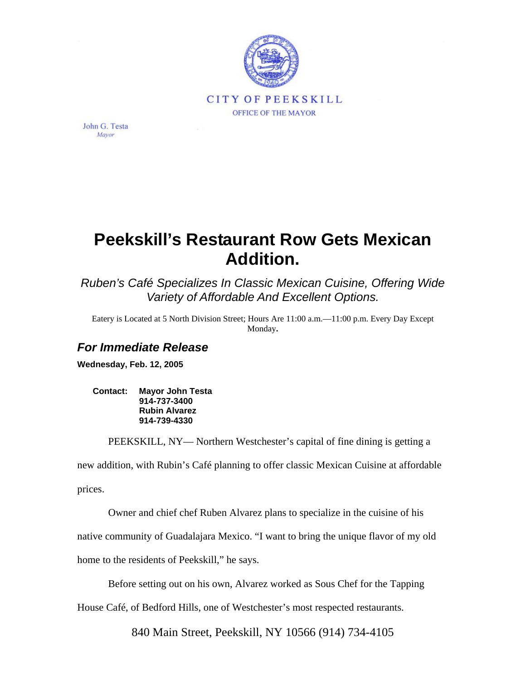

John G. Testa Mayor

## **Peekskill's Restaurant Row Gets Mexican Addition.**

*Ruben's Café Specializes In Classic Mexican Cuisine, Offering Wide Variety of Affordable And Excellent Options.* 

Eatery is Located at 5 North Division Street; Hours Are 11:00 a.m.—11:00 p.m. Every Day Except Monday**.** 

## *For Immediate Release*

**Wednesday, Feb. 12, 2005** 

**Contact: Mayor John Testa 914-737-3400 Rubin Alvarez 914-739-4330** 

PEEKSKILL, NY— Northern Westchester's capital of fine dining is getting a new addition, with Rubin's Café planning to offer classic Mexican Cuisine at affordable prices.

Owner and chief chef Ruben Alvarez plans to specialize in the cuisine of his native community of Guadalajara Mexico. "I want to bring the unique flavor of my old home to the residents of Peekskill," he says.

Before setting out on his own, Alvarez worked as Sous Chef for the Tapping

House Café, of Bedford Hills, one of Westchester's most respected restaurants.

840 Main Street, Peekskill, NY 10566 (914) 734-4105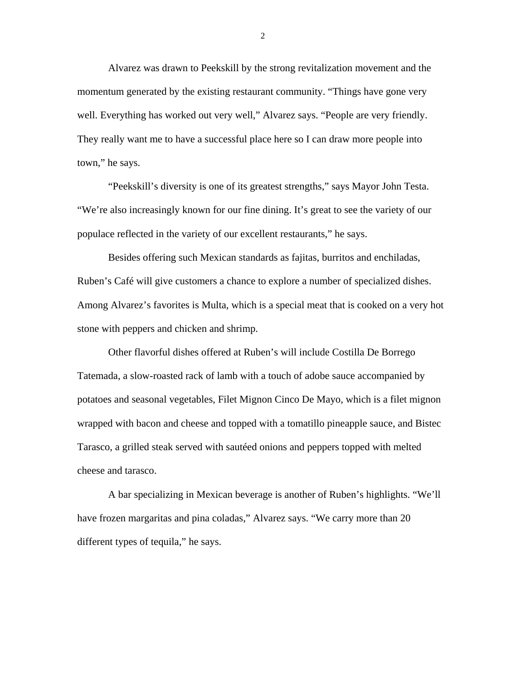Alvarez was drawn to Peekskill by the strong revitalization movement and the momentum generated by the existing restaurant community. "Things have gone very well. Everything has worked out very well," Alvarez says. "People are very friendly. They really want me to have a successful place here so I can draw more people into town," he says.

"Peekskill's diversity is one of its greatest strengths," says Mayor John Testa. "We're also increasingly known for our fine dining. It's great to see the variety of our populace reflected in the variety of our excellent restaurants," he says.

Besides offering such Mexican standards as fajitas, burritos and enchiladas, Ruben's Café will give customers a chance to explore a number of specialized dishes. Among Alvarez's favorites is Multa, which is a special meat that is cooked on a very hot stone with peppers and chicken and shrimp.

Other flavorful dishes offered at Ruben's will include Costilla De Borrego Tatemada, a slow-roasted rack of lamb with a touch of adobe sauce accompanied by potatoes and seasonal vegetables, Filet Mignon Cinco De Mayo, which is a filet mignon wrapped with bacon and cheese and topped with a tomatillo pineapple sauce, and Bistec Tarasco, a grilled steak served with sautéed onions and peppers topped with melted cheese and tarasco.

A bar specializing in Mexican beverage is another of Ruben's highlights. "We'll have frozen margaritas and pina coladas," Alvarez says. "We carry more than 20 different types of tequila," he says.